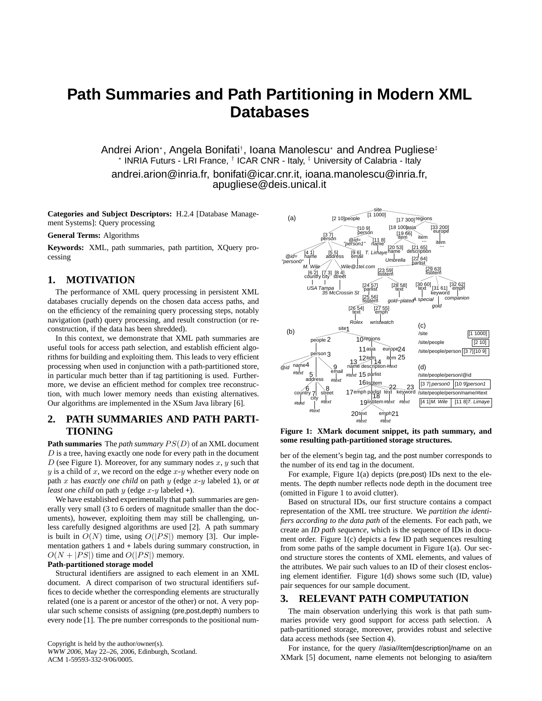# **Path Summaries and Path Partitioning in Modern XML Databases**

Andrei Arion\*, Angela Bonifati†, Ioana Manolescu\* and Andrea Pugliese‡ \* INRIA Futurs - LRI France, <sup>†</sup> ICAR CNR - Italy, <sup>‡</sup> University of Calabria - Italy andrei.arion@inria.fr, bonifati@icar.cnr.it, ioana.manolescu@inria.fr, apugliese@deis.unical.it

**Categories and Subject Descriptors:** H.2.4 [Database Management Systems]: Query processing

#### **General Terms:** Algorithms

**Keywords:** XML, path summaries, path partition, XQuery processing

### **1. MOTIVATION**

The performance of XML query processing in persistent XML databases crucially depends on the chosen data access paths, and on the efficiency of the remaining query processing steps, notably navigation (path) query processing, and result construction (or reconstruction, if the data has been shredded).

In this context, we demonstrate that XML path summaries are useful tools for access path selection, and establish efficient algorithms for building and exploiting them. This leads to very efficient processing when used in conjunction with a path-partitioned store, in particular much better than if tag partitioning is used. Furthermore, we devise an efficient method for complex tree reconstruction, with much lower memory needs than existing alternatives. Our algorithms are implemented in the XSum Java library [6].

## **2. PATH SUMMARIES AND PATH PARTI-TIONING**

**Path summaries** The *path summary* PS(D) of an XML document  $D$  is a tree, having exactly one node for every path in the document D (see Figure 1). Moreover, for any summary nodes  $x, y$  such that  $y$  is a child of  $x$ , we record on the edge  $x-y$  whether every node on path x has *exactly one child* on path y (edge x-y labeled 1), or *at least one child* on path  $y$  (edge  $x-y$  labeled +).

We have established experimentally that path summaries are generally very small (3 to 6 orders of magnitude smaller than the documents), however, exploiting them may still be challenging, unless carefully designed algorithms are used [2]. A path summary is built in  $O(N)$  time, using  $O(|PS|)$  memory [3]. Our implementation gathers 1 and + labels during summary construction, in  $O(N + |PS|)$  time and  $O(|PS|)$  memory.

#### **Path-partitioned storage model**

Structural identifiers are assigned to each element in an XML document. A direct comparison of two structural identifiers suffices to decide whether the corresponding elements are structurally related (one is a parent or ancestor of the other) or not. A very popular such scheme consists of assigning (pre,post,depth) numbers to every node [1]. The pre number corresponds to the positional num-

Copyright is held by the author/owner(s). *WWW 2006,* May 22–26, 2006, Edinburgh, Scotland. ACM 1-59593-332-9/06/0005.



**Figure 1: XMark document snippet, its path summary, and some resulting path-partitioned storage structures.**

ber of the element's begin tag, and the post number corresponds to the number of its end tag in the document.

For example, Figure 1(a) depicts (pre,post) IDs next to the elements. The depth number reflects node depth in the document tree (omitted in Figure 1 to avoid clutter).

Based on structural IDs, our first structure contains a compact representation of the XML tree structure. We *partition the identifiers according to the data path* of the elements. For each path, we create an *ID path sequence*, which is the sequence of IDs in document order. Figure 1(c) depicts a few ID path sequences resulting from some paths of the sample document in Figure 1(a). Our second structure stores the contents of XML elements, and values of the attributes. We pair such values to an ID of their closest enclosing element identifier. Figure 1(d) shows some such (ID, value) pair sequences for our sample document.

## **3. RELEVANT PATH COMPUTATION**

The main observation underlying this work is that path summaries provide very good support for access path selection. A path-partitioned storage, moreover, provides robust and selective data access methods (see Section 4).

For instance, for the query //asia//item[description]/name on an XMark [5] document, name elements not belonging to asia/item